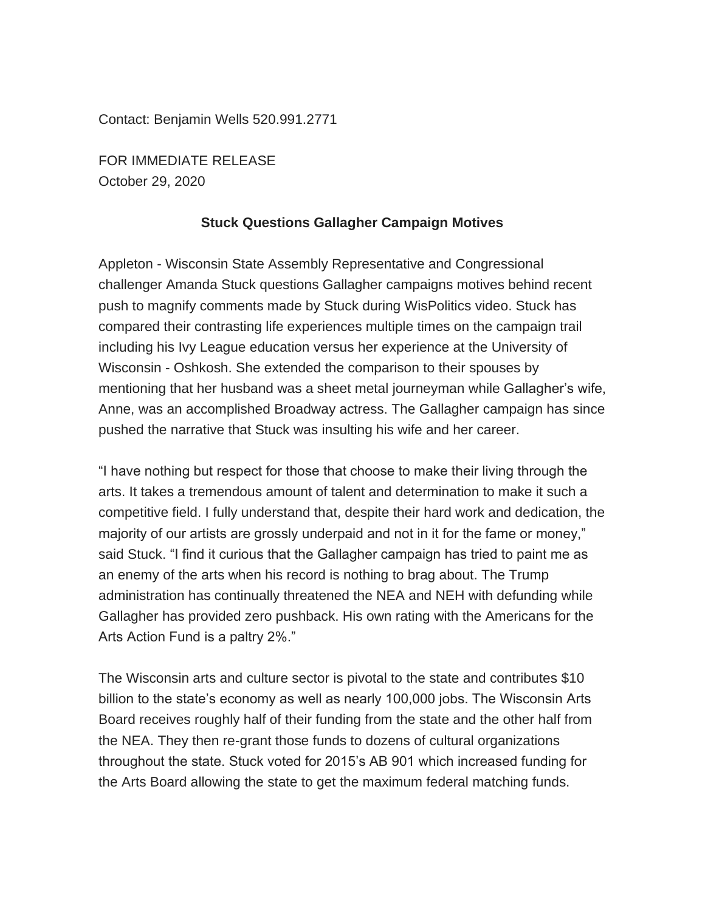Contact: Benjamin Wells 520.991.2771

FOR IMMEDIATE RELEASE October 29, 2020

## **Stuck Questions Gallagher Campaign Motives**

Appleton - Wisconsin State Assembly Representative and Congressional challenger Amanda Stuck questions Gallagher campaigns motives behind recent push to magnify comments made by Stuck during WisPolitics video. Stuck has compared their contrasting life experiences multiple times on the campaign trail including his Ivy League education versus her experience at the University of Wisconsin - Oshkosh. She extended the comparison to their spouses by mentioning that her husband was a sheet metal journeyman while Gallagher's wife, Anne, was an accomplished Broadway actress. The Gallagher campaign has since pushed the narrative that Stuck was insulting his wife and her career.

"I have nothing but respect for those that choose to make their living through the arts. It takes a tremendous amount of talent and determination to make it such a competitive field. I fully understand that, despite their hard work and dedication, the majority of our artists are grossly underpaid and not in it for the fame or money," said Stuck. "I find it curious that the Gallagher campaign has tried to paint me as an enemy of the arts when his record is nothing to brag about. The Trump administration has continually threatened the NEA and NEH with defunding while Gallagher has provided zero pushback. His own rating with the Americans for the Arts Action Fund is a paltry 2%."

The Wisconsin arts and culture sector is pivotal to the state and contributes \$10 billion to the state's economy as well as nearly 100,000 jobs. The Wisconsin Arts Board receives roughly half of their funding from the state and the other half from the NEA. They then re-grant those funds to dozens of cultural organizations throughout the state. Stuck voted for 2015's AB 901 which increased funding for the Arts Board allowing the state to get the maximum federal matching funds.